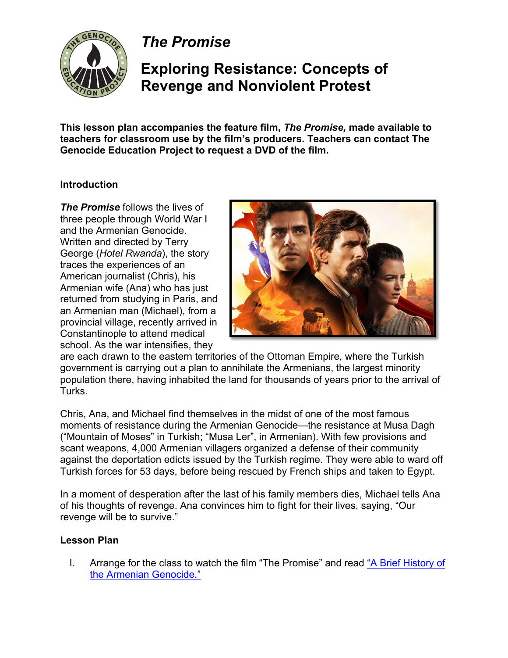

*The Promise*

# **Exploring Resistance: Concepts of Revenge and Nonviolent Protest**

**This lesson plan accompanies the feature film,** *The Promise,* **made available to teachers for classroom use by the film's producers. Teachers can contact The Genocide Education Project to request a DVD of the film.** 

### **Introduction**

*The Promise* follows the lives of three people through World War I and the Armenian Genocide. Written and directed by Terry George (*Hotel Rwanda*), the story traces the experiences of an American journalist (Chris), his Armenian wife (Ana) who has just returned from studying in Paris, and an Armenian man (Michael), from a provincial village, recently arrived in Constantinople to attend medical school. As the war intensifies, they



are each drawn to the eastern territories of the Ottoman Empire, where the Turkish government is carrying out a plan to annihilate the Armenians, the largest minority population there, having inhabited the land for thousands of years prior to the arrival of Turks.

Chris, Ana, and Michael find themselves in the midst of one of the most famous moments of resistance during the Armenian Genocide—the resistance at Musa Dagh ("Mountain of Moses" in Turkish; "Musa Ler", in Armenian). With few provisions and scant weapons, 4,000 Armenian villagers organized a defense of their community against the deportation edicts issued by the Turkish regime. They were able to ward off Turkish forces for 53 days, before being rescued by French ships and taken to Egypt.

In a moment of desperation after the last of his family members dies, Michael tells Ana of his thoughts of revenge. Ana convinces him to fight for their lives, saying, "Our revenge will be to survive."

#### **Lesson Plan**

I. Arrange for the class to watch the film "The Promise" and read ["A Brief History of](https://genocideeducation.org/background/brief-history/) [the Armenian Genocide."](https://genocideeducation.org/background/brief-history/)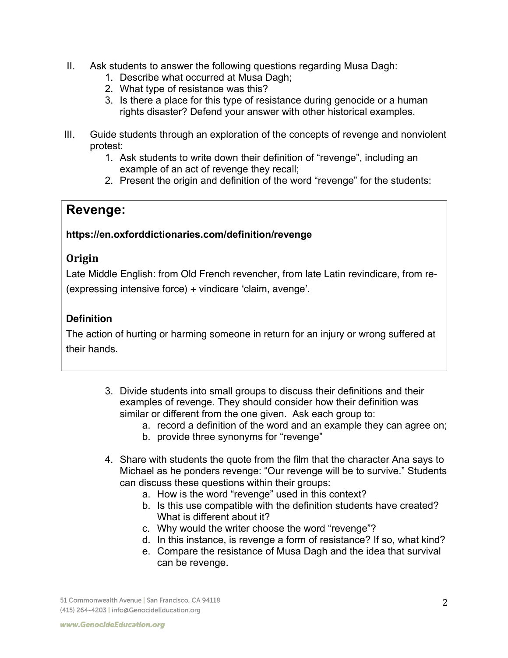- II. Ask students to answer the following questions regarding Musa Dagh:
	- 1. Describe what occurred at Musa Dagh;
	- 2. What type of resistance was this?
	- 3. Is there a place for this type of resistance during genocide or a human rights disaster? Defend your answer with other historical examples.
- III. Guide students through an exploration of the concepts of revenge and nonviolent protest:
	- 1. Ask students to write down their definition of "revenge", including an example of an act of revenge they recall;
	- 2. Present the origin and definition of the word "revenge" for the students:

## **Revenge:**

### **https://en.oxforddictionaries.com/definition/revenge**

### **Origin**

Late Middle English: from Old French revencher, from late Latin revindicare, from re- (expressing intensive force) + vindicare 'claim, avenge'.

### **Definition**

The action of hurting or harming someone in return for an injury or wrong suffered at their hands.

- 3. Divide students into small groups to discuss their definitions and their examples of revenge. They should consider how their definition was similar or different from the one given. Ask each group to:
	- a. record a definition of the word and an example they can agree on;
	- b. provide three synonyms for "revenge"
- 4. Share with students the quote from the film that the character Ana says to Michael as he ponders revenge: "Our revenge will be to survive." Students can discuss these questions within their groups:
	- a. How is the word "revenge" used in this context?
	- b. Is this use compatible with the definition students have created? What is different about it?
	- c. Why would the writer choose the word "revenge"?
	- d. In this instance, is revenge a form of resistance? If so, what kind?
	- e. Compare the resistance of Musa Dagh and the idea that survival can be revenge.

51 Commonwealth Avenue | San Francisco, CA 94118 (415) 264-4203 | info@GenocideEducation.org